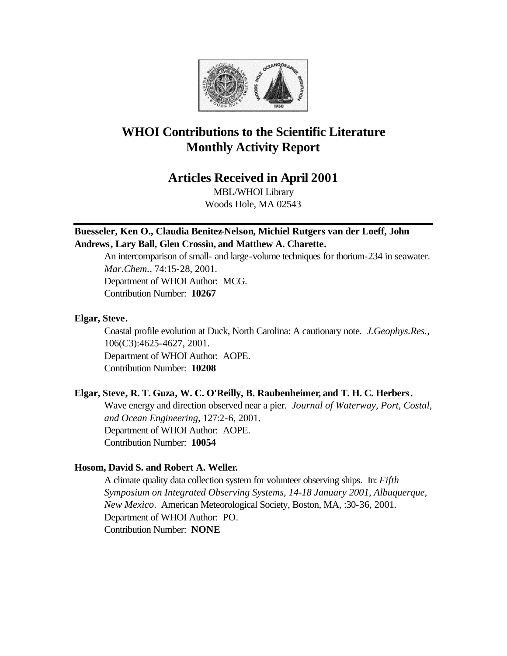

# **WHOI Contributions to the Scientific Literature Monthly Activity Report**

# **Articles Received in April 2001**

MBL/WHOI Library Woods Hole, MA 02543

# **Buesseler, Ken O., Claudia Benitez-Nelson, Michiel Rutgers van der Loeff, John Andrews, Lary Ball, Glen Crossin, and Matthew A. Charette.**

An intercomparison of small- and large-volume techniques for thorium-234 in seawater. *Mar.Chem.*, 74:15-28, 2001. Department of WHOI Author: MCG. Contribution Number: **10267**

# **Elgar, Steve.**

Coastal profile evolution at Duck, North Carolina: A cautionary note. *J.Geophys.Res.*, 106(C3):4625-4627, 2001. Department of WHOI Author: AOPE. Contribution Number: **10208**

# **Elgar, Steve, R. T. Guza, W. C. O'Reilly, B. Raubenheimer, and T. H. C. Herbers.**

Wave energy and direction observed near a pier. *Journal of Waterway, Port, Costal, and Ocean Engineering*, 127:2-6, 2001. Department of WHOI Author: AOPE.

# Contribution Number: **10054**

# **Hosom, David S. and Robert A. Weller.**

A climate quality data collection system for volunteer observing ships. In: *Fifth Symposium on Integrated Observing Systems, 14-18 January 2001, Albuquerque, New Mexico*. American Meteorological Society, Boston, MA, :30-36, 2001. Department of WHOI Author: PO. Contribution Number: **NONE**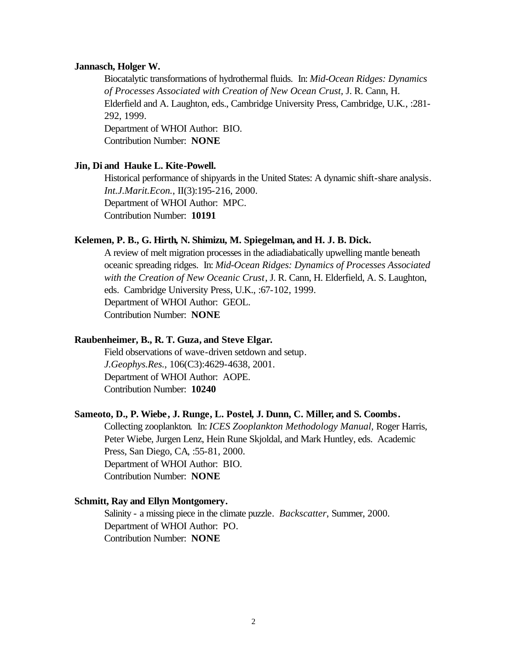#### **Jannasch, Holger W.**

Biocatalytic transformations of hydrothermal fluids. In: *Mid-Ocean Ridges: Dynamics of Processes Associated with Creation of New Ocean Crust,* J. R. Cann, H. Elderfield and A. Laughton, eds., Cambridge University Press, Cambridge, U.K*.*, :281- 292, 1999. Department of WHOI Author: BIO. Contribution Number: **NONE**

## **Jin, Di and Hauke L. Kite-Powell.**

Historical performance of shipyards in the United States: A dynamic shift-share analysis. *Int.J.Marit.Econ.*, II(3):195-216, 2000. Department of WHOI Author: MPC. Contribution Number: **10191**

#### **Kelemen, P. B., G. Hirth, N. Shimizu, M. Spiegelman, and H. J. B. Dick.**

A review of melt migration processes in the adiadiabatically upwelling mantle beneath oceanic spreading ridges. In: *Mid-Ocean Ridges: Dynamics of Processes Associated with the Creation of New Oceanic Crust*, J. R. Cann, H. Elderfield, A. S. Laughton, eds. Cambridge University Press, U.K., :67-102, 1999. Department of WHOI Author: GEOL. Contribution Number: **NONE**

## **Raubenheimer, B., R. T. Guza, and Steve Elgar.**

Field observations of wave-driven setdown and setup. *J.Geophys.Res.*, 106(C3):4629-4638, 2001. Department of WHOI Author: AOPE. Contribution Number: **10240**

#### **Sameoto, D., P. Wiebe, J. Runge, L. Postel, J. Dunn, C. Miller, and S. Coombs.**

Collecting zooplankton. In: *ICES Zooplankton Methodology Manual,* Roger Harris, Peter Wiebe, Jurgen Lenz, Hein Rune Skjoldal, and Mark Huntley, eds. Academic Press, San Diego, CA, :55-81, 2000. Department of WHOI Author: BIO. Contribution Number: **NONE**

## **Schmitt, Ray and Ellyn Montgomery.**

Salinity - a missing piece in the climate puzzle. *Backscatter*, Summer, 2000. Department of WHOI Author: PO. Contribution Number: **NONE**